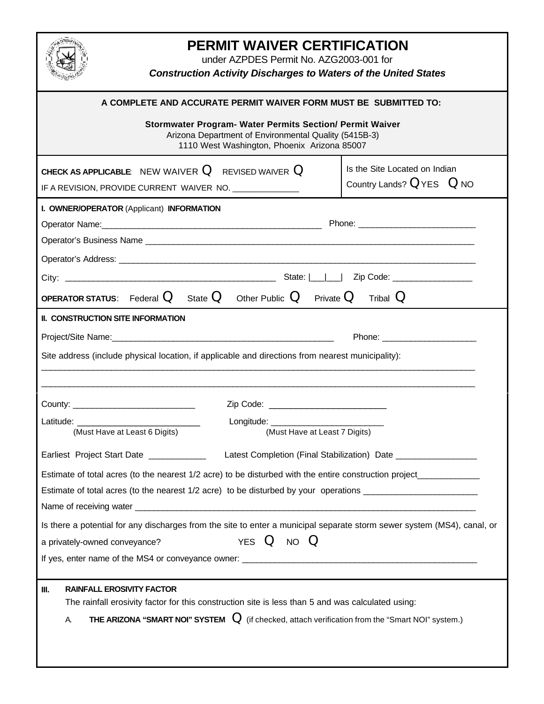| PERMIT WAIVER CERTIFICATION<br>under AZPDES Permit No. AZG2003-001 for<br><b>Construction Activity Discharges to Waters of the United States</b>                                                                                                                                                                                           |                                                                |  |  |  |
|--------------------------------------------------------------------------------------------------------------------------------------------------------------------------------------------------------------------------------------------------------------------------------------------------------------------------------------------|----------------------------------------------------------------|--|--|--|
| A COMPLETE AND ACCURATE PERMIT WAIVER FORM MUST BE SUBMITTED TO:<br>Stormwater Program- Water Permits Section/ Permit Waiver<br>Arizona Department of Environmental Quality (5415B-3)<br>1110 West Washington, Phoenix Arizona 85007                                                                                                       |                                                                |  |  |  |
| <b>CHECK AS APPLICABLE:</b> NEW WAIVER $Q$ REVISED WAIVER $Q$<br>IF A REVISION, PROVIDE CURRENT WAIVER NO. _______________                                                                                                                                                                                                                 | Is the Site Located on Indian<br>Country Lands? $Q$ YES $Q$ NO |  |  |  |
| I. OWNER/OPERATOR (Applicant) INFORMATION                                                                                                                                                                                                                                                                                                  |                                                                |  |  |  |
| <b>OPERATOR STATUS:</b> Federal $Q$ State $Q$ Other Public $Q$ Private $Q$<br>Tribal $Q$                                                                                                                                                                                                                                                   |                                                                |  |  |  |
| Site address (include physical location, if applicable and directions from nearest municipality):                                                                                                                                                                                                                                          |                                                                |  |  |  |
| Latitude:<br>Longitude: $\frac{1}{2}$<br>(Must Have at Least 6 Digits)<br>(Must Have at Least 7 Digits)                                                                                                                                                                                                                                    |                                                                |  |  |  |
| Earliest Project Start Date ______________________Latest Completion (Final Stabilization) Date _______________<br>Estimate of total acres (to the nearest 1/2 acre) to be disturbed with the entire construction project<br>Estimate of total acres (to the nearest 1/2 acre) to be disturbed by your operations _________________________ |                                                                |  |  |  |
| Is there a potential for any discharges from the site to enter a municipal separate storm sewer system (MS4), canal, or<br>YES Q NO Q<br>a privately-owned conveyance?                                                                                                                                                                     |                                                                |  |  |  |
| <b>RAINFALL EROSIVITY FACTOR</b><br>III.<br>The rainfall erosivity factor for this construction site is less than 5 and was calculated using:<br>THE ARIZONA "SMART NOI" SYSTEM $\Omega$ (if checked, attach verification from the "Smart NOI" system.)<br>A.                                                                              |                                                                |  |  |  |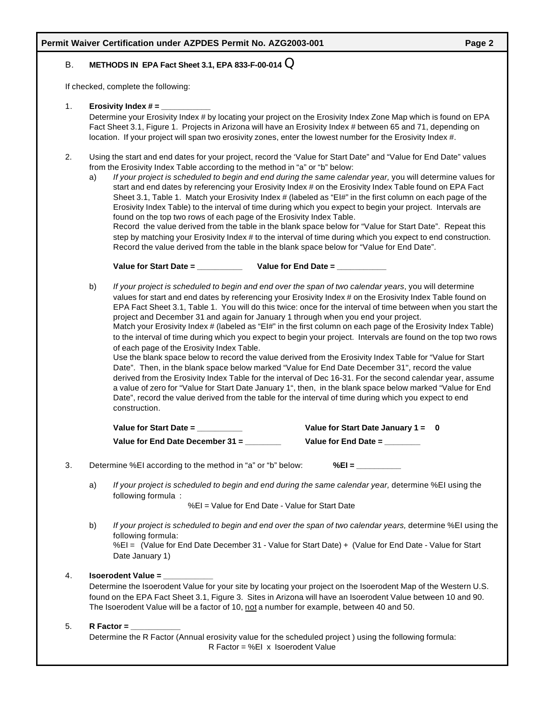## B. **METHODS IN EPA Fact Sheet 3.1, EPA 833-F-00-014** Q

If checked, complete the following:

1. **Erosivity Index # = \_\_\_\_\_\_\_\_\_\_\_**

Determine your Erosivity Index # by locating your project on the Erosivity Index Zone Map which is found on EPA Fact Sheet 3.1, Figure 1. Projects in Arizona will have an Erosivity Index # between 65 and 71, depending on location. If your project will span two erosivity zones, enter the lowest number for the Erosivity Index #.

- 2. Using the start and end dates for your project, record the 'Value for Start Date" and "Value for End Date" values from the Erosivity Index Table according to the method in "a" or "b" below:
	- a) *If your project is scheduled to begin and end during the same calendar year,* you will determine values for start and end dates by referencing your Erosivity Index # on the Erosivity Index Table found on EPA Fact Sheet 3.1, Table 1. Match your Erosivity Index # (labeled as "EI#" in the first column on each page of the Erosivity Index Table) to the interval of time during which you expect to begin your project. Intervals are found on the top two rows of each page of the Erosivity Index Table.

Record the value derived from the table in the blank space below for "Value for Start Date". Repeat this step by matching your Erosivity Index # to the interval of time during which you expect to end construction. Record the value derived from the table in the blank space below for "Value for End Date".

**Value for Start Date = \_\_\_\_\_\_\_\_\_\_ Value for End Date = \_\_\_\_\_\_\_\_\_\_\_**

b) *If your project is scheduled to begin and end over the span of two calendar years*, you will determine values for start and end dates by referencing your Erosivity Index # on the Erosivity Index Table found on EPA Fact Sheet 3.1, Table 1. You will do this twice: once for the interval of time between when you start the project and December 31 and again for January 1 through when you end your project. Match your Erosivity Index # (labeled as "EI#" in the first column on each page of the Erosivity Index Table)

to the interval of time during which you expect to begin your project. Intervals are found on the top two rows of each page of the Erosivity Index Table.

Use the blank space below to record the value derived from the Erosivity Index Table for "Value for Start Date". Then, in the blank space below marked "Value for End Date December 31", record the value derived from the Erosivity Index Table for the interval of Dec 16-31. For the second calendar year, assume a value of zero for "Value for Start Date January 1", then, in the blank space below marked "Value for End Date", record the value derived from the table for the interval of time during which you expect to end construction.

| Value for Start Date $=$           | Value for Start Date January $1 = 0$ |  |
|------------------------------------|--------------------------------------|--|
| Value for End Date December $31 =$ | Value for $End$ Date $=$             |  |

- 3. Determine %EI according to the method in "a" or "b" below: **%EI =** 
	- a) *If your project is scheduled to begin and end during the same calendar year,* determine %EI using the following formula :

%EI = Value for End Date - Value for Start Date

b) *If your project is scheduled to begin and end over the span of two calendar years,* determine %EI using the following formula: %EI = (Value for End Date December 31 - Value for Start Date) + (Value for End Date - Value for Start

## 4. **Isoerodent Value = \_\_\_\_\_\_\_\_\_\_\_**

Date January 1)

Determine the Isoerodent Value for your site by locating your project on the Isoerodent Map of the Western U.S. found on the EPA Fact Sheet 3.1, Figure 3. Sites in Arizona will have an Isoerodent Value between 10 and 90. The Isoerodent Value will be a factor of 10, not a number for example, between 40 and 50.

## 5. **R Factor = \_\_\_\_\_\_\_\_\_\_\_**

Determine the R Factor (Annual erosivity value for the scheduled project ) using the following formula: R Factor = %EI x Isoerodent Value